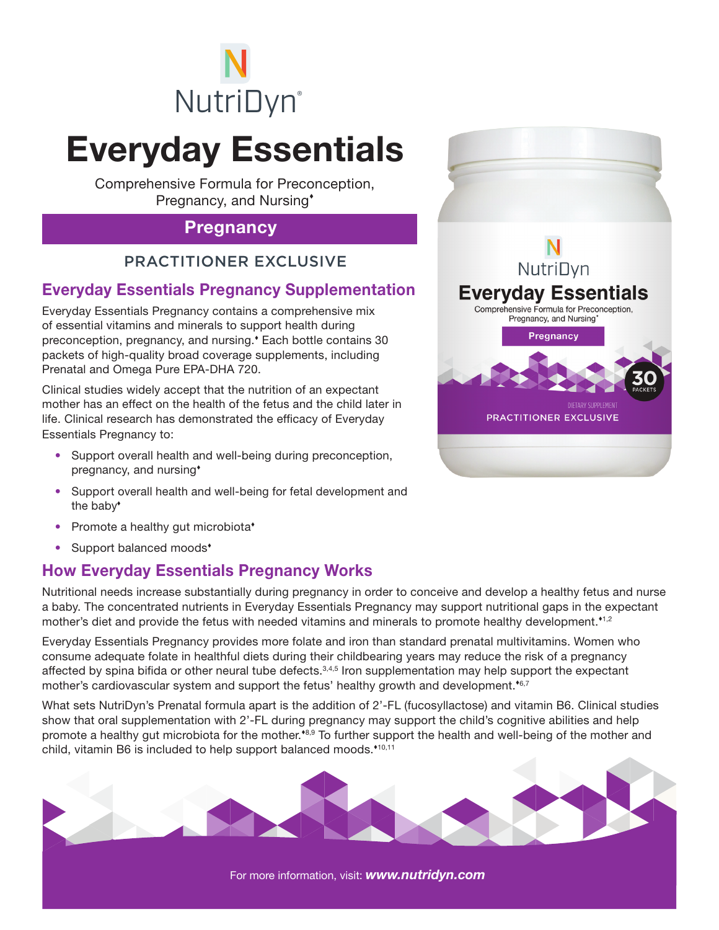

# Everyday Essentials

Comprehensive Formula for Preconception, Pregnancy, and Nursing

#### **Pregnancy**

#### PRACTITIONER EXCLUSIVE

### Everyday Essentials Pregnancy Supplementation

Everyday Essentials Pregnancy contains a comprehensive mix of essential vitamins and minerals to support health during preconception, pregnancy, and nursing. Each bottle contains 30 packets of high-quality broad coverage supplements, including Prenatal and Omega Pure EPA-DHA 720.

Clinical studies widely accept that the nutrition of an expectant mother has an effect on the health of the fetus and the child later in life. Clinical research has demonstrated the efficacy of Everyday Essentials Pregnancy to:

- Support overall health and well-being during preconception, pregnancy, and nursing
- Support overall health and well-being for fetal development and the baby
- Promote a healthy gut microbiota\*
- Support balanced moods<sup>\*</sup>

#### How Everyday Essentials Pregnancy Works

Nutritional needs increase substantially during pregnancy in order to conceive and develop a healthy fetus and nurse a baby. The concentrated nutrients in Everyday Essentials Pregnancy may support nutritional gaps in the expectant mother's diet and provide the fetus with needed vitamins and minerals to promote healthy development.<sup>1,2</sup>

Everyday Essentials Pregnancy provides more folate and iron than standard prenatal multivitamins. Women who consume adequate folate in healthful diets during their childbearing years may reduce the risk of a pregnancy affected by spina bifida or other neural tube defects.<sup>3,4,5</sup> Iron supplementation may help support the expectant mother's cardiovascular system and support the fetus' healthy growth and development.<sup> $\epsilon$ 6,7</sup>

What sets NutriDyn's Prenatal formula apart is the addition of 2'-FL (fucosyllactose) and vitamin B6. Clinical studies show that oral supplementation with 2'-FL during pregnancy may support the child's cognitive abilities and help promote a healthy gut microbiota for the mother.<sup>48,9</sup> To further support the health and well-being of the mother and child, vitamin B6 is included to help support balanced moods.\*10,11